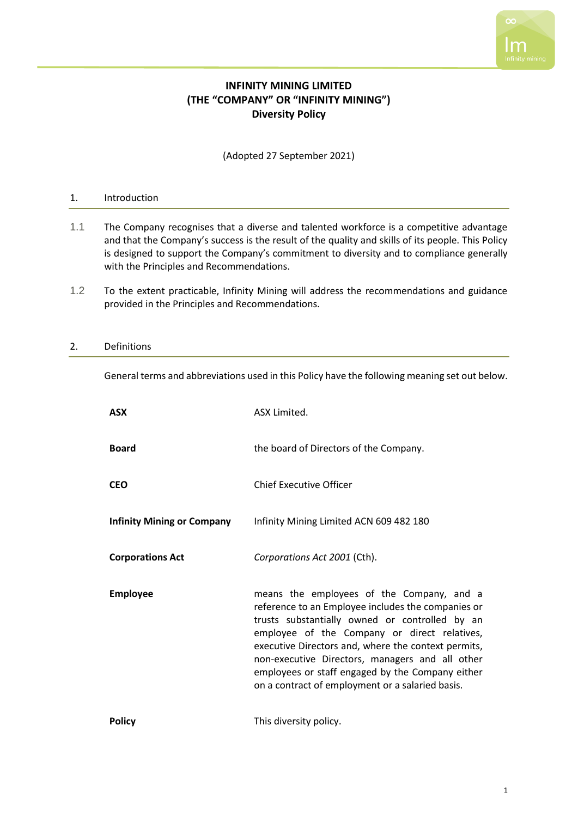# **INFINITY MINING LIMITED (THE "COMPANY" OR "INFINITY MINING") Diversity Policy**

(Adopted 27 September 2021)

# 1. Introduction

- 1.1 The Company recognises that a diverse and talented workforce is a competitive advantage and that the Company's success is the result of the quality and skills of its people. This Policy is designed to support the Company's commitment to diversity and to compliance generally with the Principles and Recommendations.
- 1.2 To the extent practicable, Infinity Mining will address the recommendations and guidance provided in the Principles and Recommendations.

# 2. Definitions

General terms and abbreviations used in this Policy have the following meaning set out below.

| <b>ASX</b>                        | ASX Limited.                                                                                                                                                                                                                                                                                                                                                                                                        |
|-----------------------------------|---------------------------------------------------------------------------------------------------------------------------------------------------------------------------------------------------------------------------------------------------------------------------------------------------------------------------------------------------------------------------------------------------------------------|
| <b>Board</b>                      | the board of Directors of the Company.                                                                                                                                                                                                                                                                                                                                                                              |
| <b>CEO</b>                        | <b>Chief Executive Officer</b>                                                                                                                                                                                                                                                                                                                                                                                      |
| <b>Infinity Mining or Company</b> | Infinity Mining Limited ACN 609 482 180                                                                                                                                                                                                                                                                                                                                                                             |
| <b>Corporations Act</b>           | Corporations Act 2001 (Cth).                                                                                                                                                                                                                                                                                                                                                                                        |
| <b>Employee</b>                   | means the employees of the Company, and a<br>reference to an Employee includes the companies or<br>trusts substantially owned or controlled by an<br>employee of the Company or direct relatives,<br>executive Directors and, where the context permits,<br>non-executive Directors, managers and all other<br>employees or staff engaged by the Company either<br>on a contract of employment or a salaried basis. |
| <b>Policy</b>                     | This diversity policy.                                                                                                                                                                                                                                                                                                                                                                                              |

 $\infty$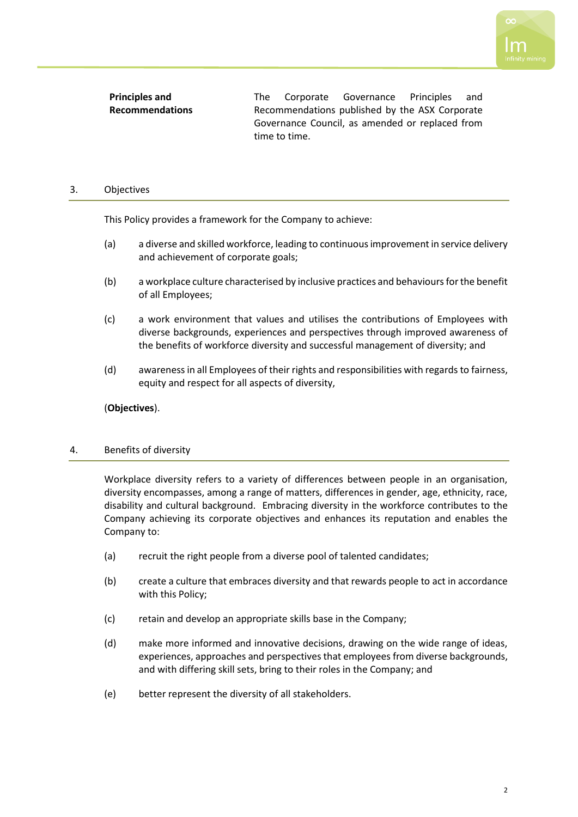**Principles and Recommendations** The Corporate Governance Principles and Recommendations published by the ASX Corporate Governance Council, as amended or replaced from time to time.

# 3. Objectives

This Policy provides a framework for the Company to achieve:

- (a) a diverse and skilled workforce, leading to continuous improvement in service delivery and achievement of corporate goals;
- (b) a workplace culture characterised by inclusive practices and behaviours for the benefit of all Employees;
- (c) a work environment that values and utilises the contributions of Employees with diverse backgrounds, experiences and perspectives through improved awareness of the benefits of workforce diversity and successful management of diversity; and
- (d) awareness in all Employees of their rights and responsibilities with regards to fairness, equity and respect for all aspects of diversity,

(**Objectives**).

### 4. Benefits of diversity

Workplace diversity refers to a variety of differences between people in an organisation, diversity encompasses, among a range of matters, differences in gender, age, ethnicity, race, disability and cultural background. Embracing diversity in the workforce contributes to the Company achieving its corporate objectives and enhances its reputation and enables the Company to:

- (a) recruit the right people from a diverse pool of talented candidates;
- (b) create a culture that embraces diversity and that rewards people to act in accordance with this Policy;
- (c) retain and develop an appropriate skills base in the Company;
- (d) make more informed and innovative decisions, drawing on the wide range of ideas, experiences, approaches and perspectives that employees from diverse backgrounds, and with differing skill sets, bring to their roles in the Company; and
- (e) better represent the diversity of all stakeholders.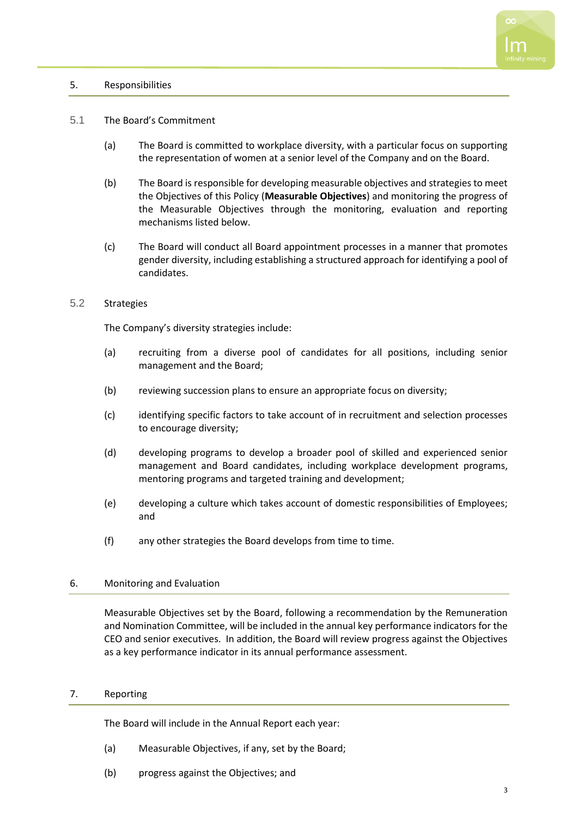### 5. Responsibilities

#### 5.1 The Board's Commitment

- (a) The Board is committed to workplace diversity, with a particular focus on supporting the representation of women at a senior level of the Company and on the Board.
- (b) The Board is responsible for developing measurable objectives and strategies to meet the Objectives of this Policy (**Measurable Objectives**) and monitoring the progress of the Measurable Objectives through the monitoring, evaluation and reporting mechanisms listed below.
- (c) The Board will conduct all Board appointment processes in a manner that promotes gender diversity, including establishing a structured approach for identifying a pool of candidates.

# 5.2 Strategies

The Company's diversity strategies include:

- (a) recruiting from a diverse pool of candidates for all positions, including senior management and the Board;
- (b) reviewing succession plans to ensure an appropriate focus on diversity;
- (c) identifying specific factors to take account of in recruitment and selection processes to encourage diversity;
- (d) developing programs to develop a broader pool of skilled and experienced senior management and Board candidates, including workplace development programs, mentoring programs and targeted training and development;
- (e) developing a culture which takes account of domestic responsibilities of Employees; and
- (f) any other strategies the Board develops from time to time.

### 6. Monitoring and Evaluation

Measurable Objectives set by the Board, following a recommendation by the Remuneration and Nomination Committee, will be included in the annual key performance indicators for the CEO and senior executives. In addition, the Board will review progress against the Objectives as a key performance indicator in its annual performance assessment.

#### 7. Reporting

The Board will include in the Annual Report each year:

- (a) Measurable Objectives, if any, set by the Board;
- (b) progress against the Objectives; and